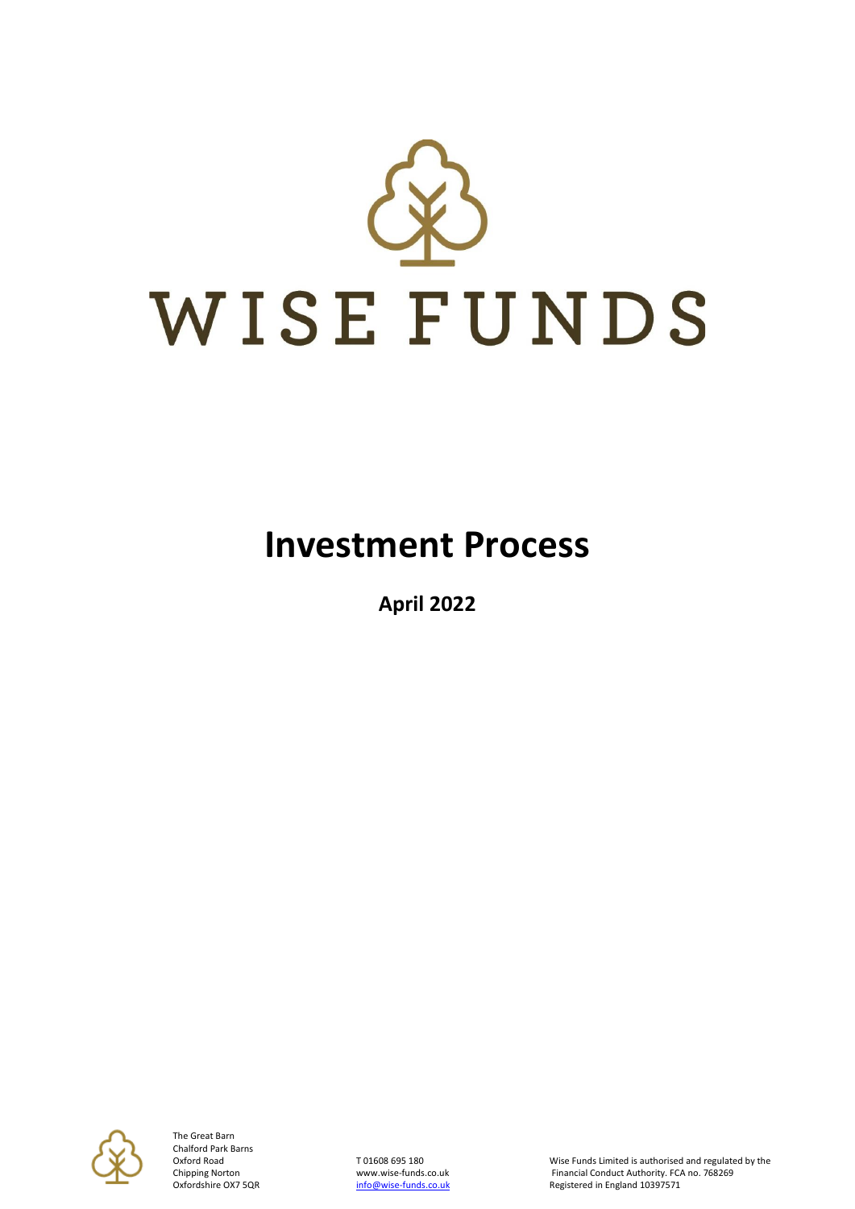

## **Investment Process**

**April 2022**



The Great Barn Chalford Park Barns

Oxford Road TO1608 695 180 TO1608 695 180 Wise Funds Limited is authorised and regulated by the<br>Chipping Norton Www.wise-funds.co.uk Financial Conduct Authority. FCA no. 768269 Chipping Norton www.wise-funds.co.uk Financial Conduct Authority. FCA no. 768269<br>
Oxfordshire OX7 5QR **http://wise-funds.co.uk** Registered in England 10397571 Registered in England 10397571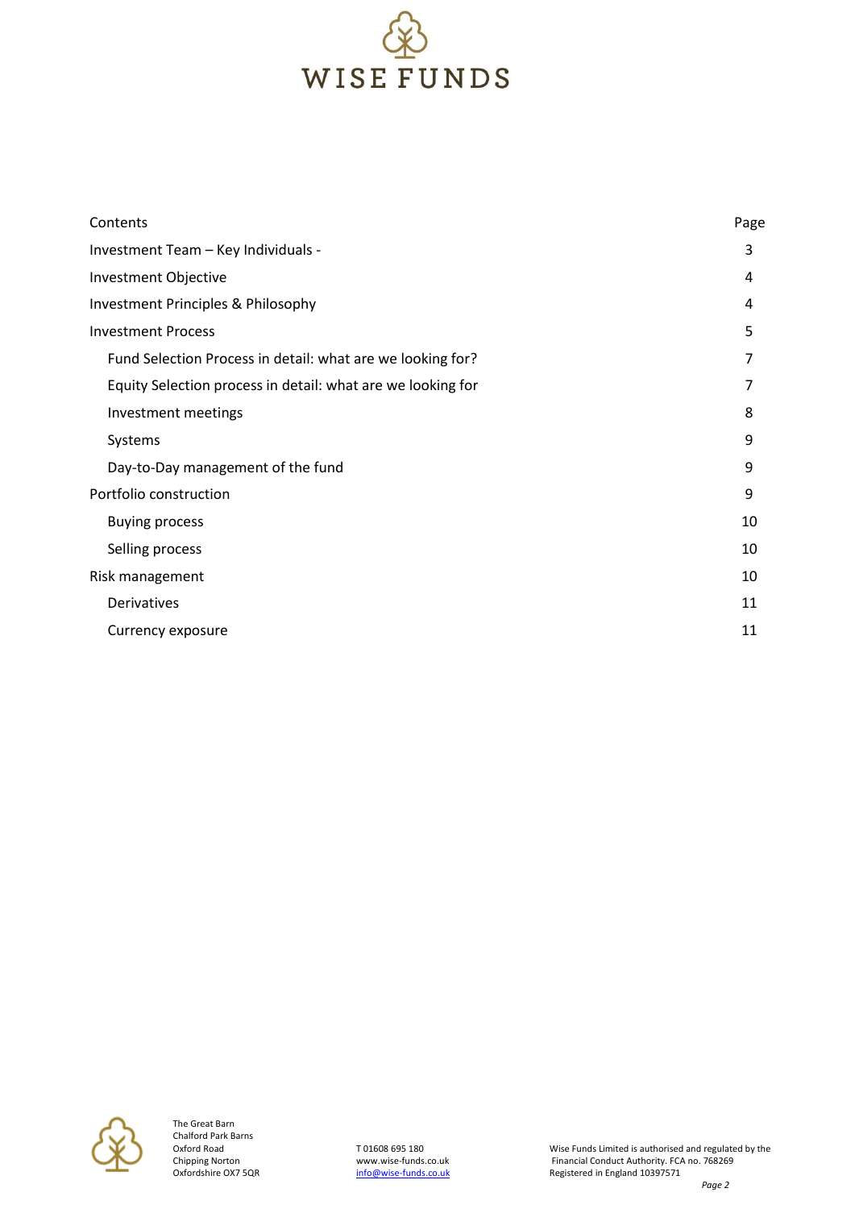

| Contents                                                    | Page |
|-------------------------------------------------------------|------|
| Investment Team - Key Individuals -                         | 3    |
| Investment Objective                                        | 4    |
| Investment Principles & Philosophy                          | 4    |
| <b>Investment Process</b>                                   | 5    |
| Fund Selection Process in detail: what are we looking for?  | 7    |
| Equity Selection process in detail: what are we looking for | 7    |
| Investment meetings                                         | 8    |
| Systems                                                     | 9    |
| Day-to-Day management of the fund                           | 9    |
| Portfolio construction                                      | 9    |
| <b>Buying process</b>                                       | 10   |
| Selling process                                             | 10   |
| Risk management                                             | 10   |
| Derivatives                                                 | 11   |
| Currency exposure                                           | 11   |

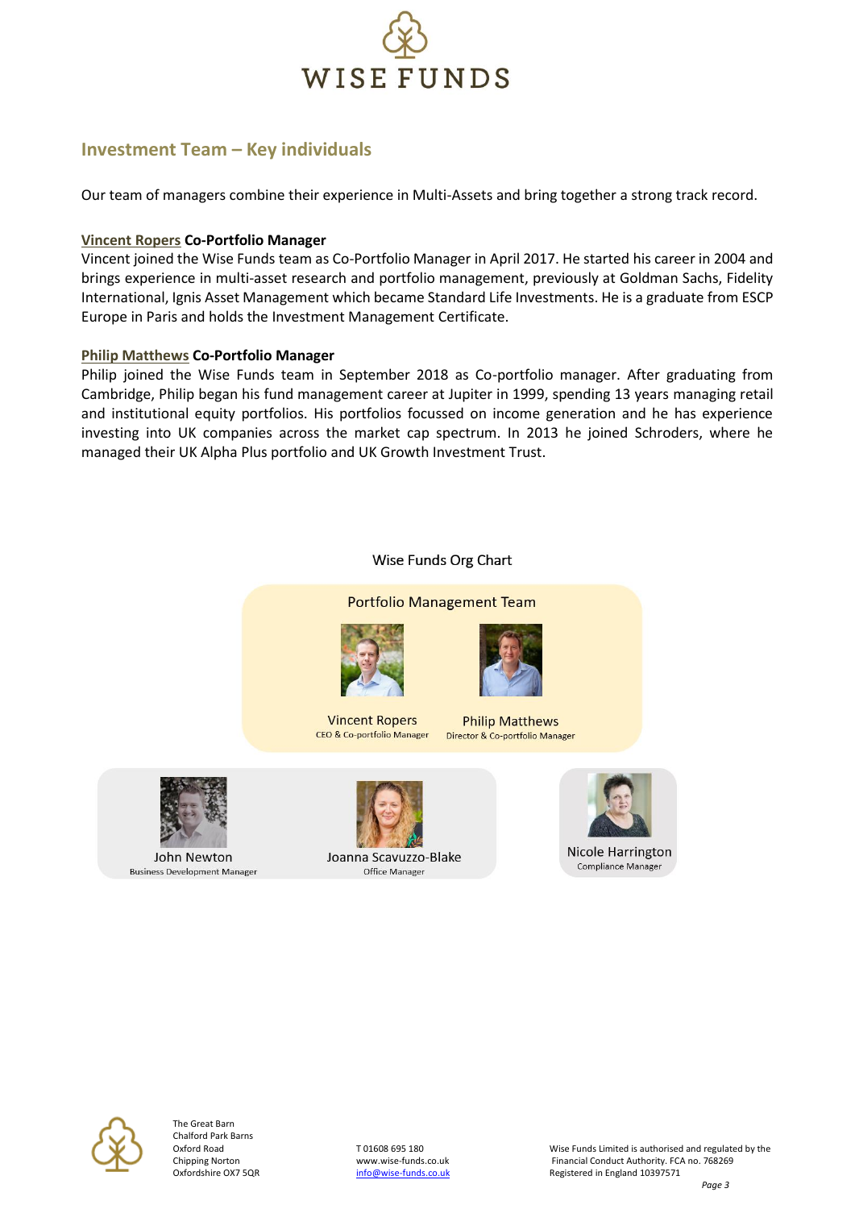

#### **Investment Team – Key individuals**

Our team of managers combine their experience in Multi-Assets and bring together a strong track record.

#### **Vincent Ropers Co-Portfolio Manager**

Vincent joined the Wise Funds team as Co-Portfolio Manager in April 2017. He started his career in 2004 and brings experience in multi-asset research and portfolio management, previously at Goldman Sachs, Fidelity International, Ignis Asset Management which became Standard Life Investments. He is a graduate from ESCP Europe in Paris and holds the Investment Management Certificate.

#### **Philip Matthews Co-Portfolio Manager**

Philip joined the Wise Funds team in September 2018 as Co-portfolio manager. After graduating from Cambridge, Philip began his fund management career at Jupiter in 1999, spending 13 years managing retail and institutional equity portfolios. His portfolios focussed on income generation and he has experience investing into UK companies across the market cap spectrum. In 2013 he joined Schroders, where he managed their UK Alpha Plus portfolio and UK Growth Investment Trust.

# **Portfolio Management Team Vincent Ropers Philip Matthews** CEO & Co-portfolio Manager Director & Co-portfolio Manager

Wise Funds Org Chart



John Newton **Business Development Manager**  Joanna Scavuzzo-Blake Office Manager





The Great Barn Chalford Park Barns

Oxford Road TO1608 695 180 TO1608 695 180 Wise Funds Limited is authorised and regulated by the<br>
Chipping Norton The Theorem Were www.wise-funds.co.uk Tinancial Conduct Authority. FCA no. 768269 Chipping Norton **With Chipping Norton With With With With Conduct Authority. FCA no. 768269**<br>Cxfordshire OX7 5QR **CHIPPING CONTACT THE CONDUCT CONTACT CONTACT** Registered in England 10397571 Registered in England 10397571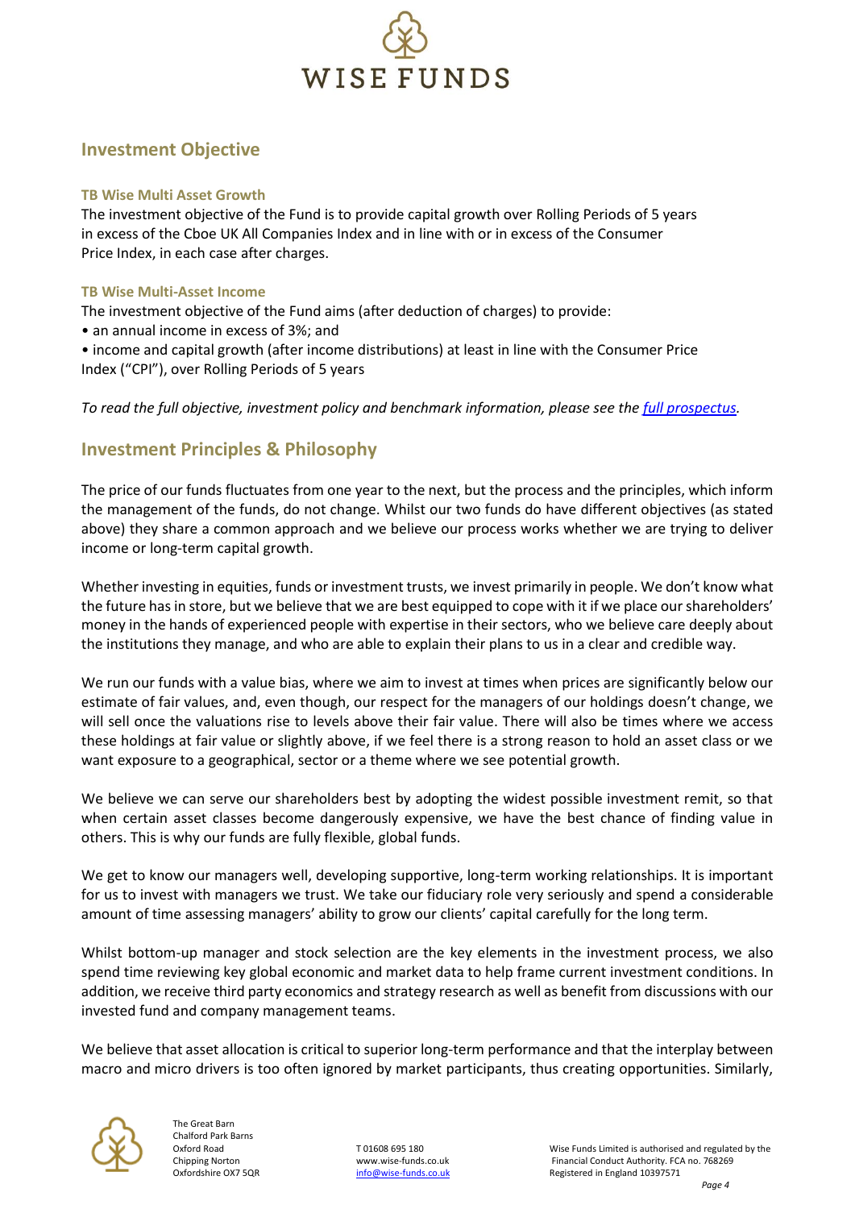

#### **Investment Objective**

#### **TB Wise Multi Asset Growth**

The investment objective of the Fund is to provide capital growth over Rolling Periods of 5 years in excess of the Cboe UK All Companies Index and in line with or in excess of the Consumer Price Index, in each case after charges.

#### **TB Wise Multi-Asset Income**

The investment objective of the Fund aims (after deduction of charges) to provide:

• an annual income in excess of 3%; and

• income and capital growth (after income distributions) at least in line with the Consumer Price Index ("CPI"), over Rolling Periods of 5 years

#### *To read the full objective, investment policy and benchmark information, please see the [full prospectus.](https://wise-funds.co.uk/our-funds/wise-income/literature-library/prospectus)*

#### **Investment Principles & Philosophy**

The price of our funds fluctuates from one year to the next, but the process and the principles, which inform the management of the funds, do not change. Whilst our two funds do have different objectives (as stated above) they share a common approach and we believe our process works whether we are trying to deliver income or long-term capital growth.

Whether investing in equities, funds or investment trusts, we invest primarily in people. We don't know what the future has in store, but we believe that we are best equipped to cope with it if we place our shareholders' money in the hands of experienced people with expertise in their sectors, who we believe care deeply about the institutions they manage, and who are able to explain their plans to us in a clear and credible way.

We run our funds with a value bias, where we aim to invest at times when prices are significantly below our estimate of fair values, and, even though, our respect for the managers of our holdings doesn't change, we will sell once the valuations rise to levels above their fair value. There will also be times where we access these holdings at fair value or slightly above, if we feel there is a strong reason to hold an asset class or we want exposure to a geographical, sector or a theme where we see potential growth.

We believe we can serve our shareholders best by adopting the widest possible investment remit, so that when certain asset classes become dangerously expensive, we have the best chance of finding value in others. This is why our funds are fully flexible, global funds.

We get to know our managers well, developing supportive, long-term working relationships. It is important for us to invest with managers we trust. We take our fiduciary role very seriously and spend a considerable amount of time assessing managers' ability to grow our clients' capital carefully for the long term.

Whilst bottom-up manager and stock selection are the key elements in the investment process, we also spend time reviewing key global economic and market data to help frame current investment conditions. In addition, we receive third party economics and strategy research as well as benefit from discussions with our invested fund and company management teams.

We believe that asset allocation is critical to superior long-term performance and that the interplay between macro and micro drivers is too often ignored by market participants, thus creating opportunities. Similarly,



The Great Barn Chalford Park Barns

Oxford Road TO1608 695 180 TO1608 695 180 Wise Funds Limited is authorised and regulated by the Chipping Norton<br>Chipping Norton Chipping May wise-funds.co.uk The Chipping Conduct Authority. FCA no. 768269 Chipping Norton **With Chipping Norton With With With With Conduct Authority. FCA no. 768269**<br>Cxfordshire OX7 5QR **CHIPPING CONTACT THE CONDUCT CONTACT CONTACT** Registered in England 10397571 Registered in England 10397571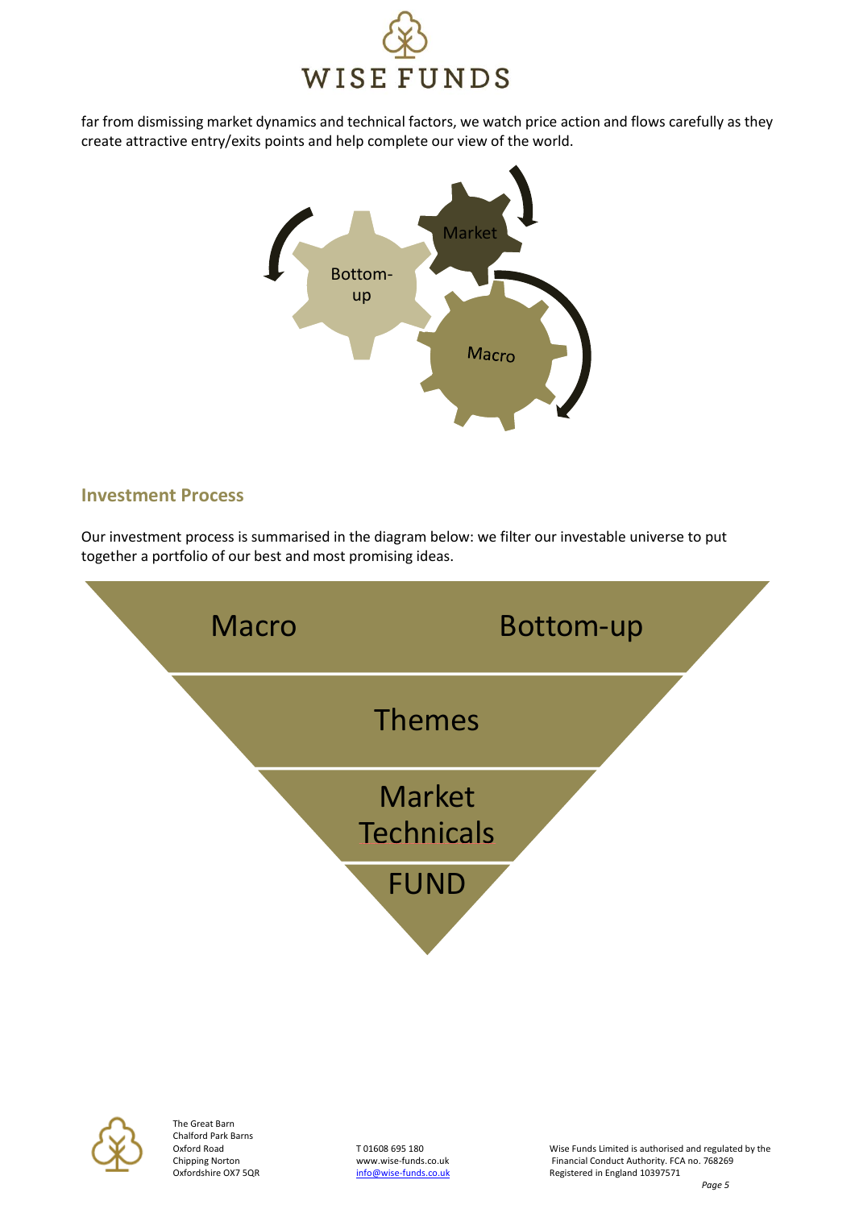

far from dismissing market dynamics and technical factors, we watch price action and flows carefully as they create attractive entry/exits points and help complete our view of the world.



#### **Investment Process**

Our investment process is summarised in the diagram below: we filter our investable universe to put together a portfolio of our best and most promising ideas.





The Great Barn Chalford Park Barns

Oxford Road TO1608 695 180 TO1608 695 180 Wise Funds Limited is authorised and regulated by the<br>Chipping Norton Chipping Morton Wise Williams www.wise-funds.co.uk Financial Conduct Authority. FCA no. 768269 Chipping Norton www.wise-funds.co.uk Financial Conduct Authority. FCA no. 768269<br>Oxfordshire OX7 5QR **http://wise-funds.co.uk** Registered in England 10397571 Registered in England 10397571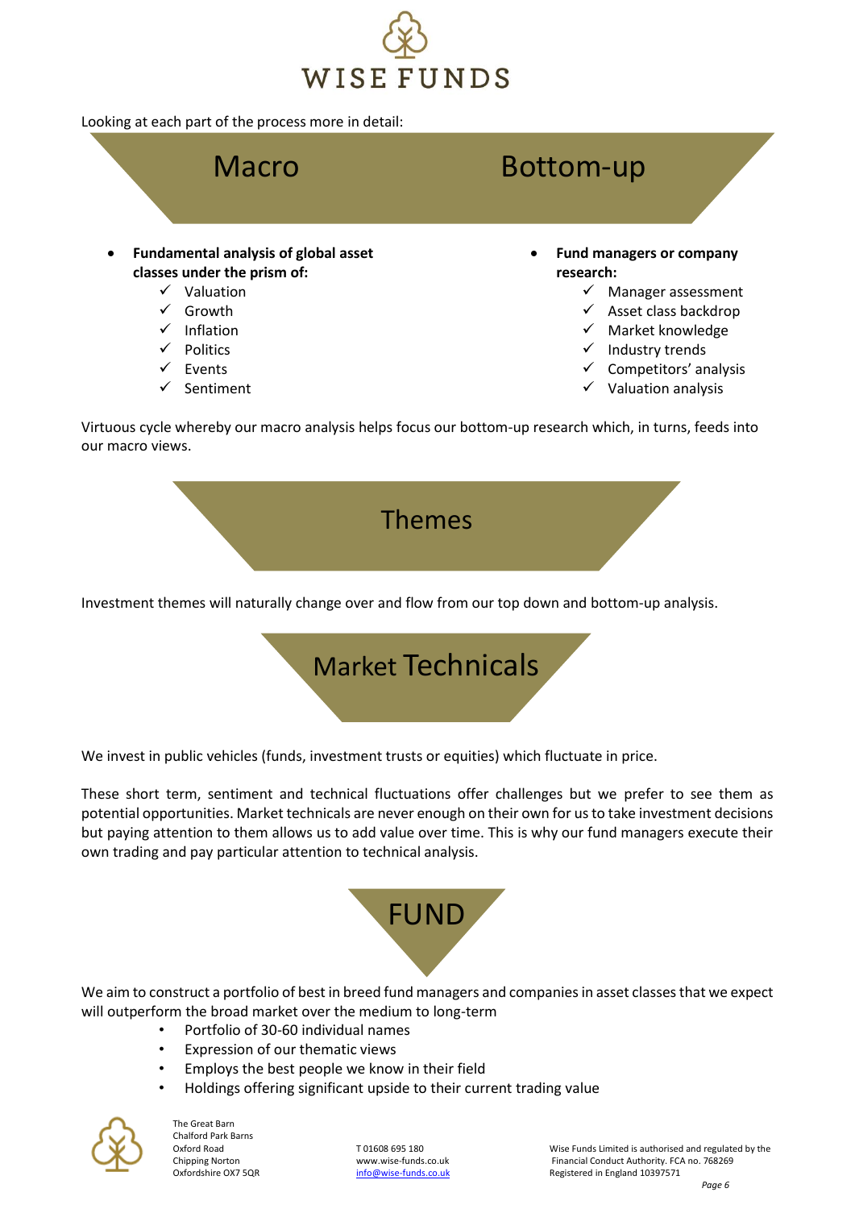

Looking at each part of the process more in detail:



Virtuous cycle whereby our macro analysis helps focus our bottom-up research which, in turns, feeds into our macro views.



Investment themes will naturally change over and flow from our top down and bottom-up analysis.



We invest in public vehicles (funds, investment trusts or equities) which fluctuate in price.

These short term, sentiment and technical fluctuations offer challenges but we prefer to see them as potential opportunities. Market technicals are never enough on their own for us to take investment decisions but paying attention to them allows us to add value over time. This is why our fund managers execute their own trading and pay particular attention to technical analysis.



We aim to construct a portfolio of best in breed fund managers and companies in asset classes that we expect will outperform the broad market over the medium to long-term

- Portfolio of 30-60 individual names
- Expression of our thematic views
- Employs the best people we know in their field
- Holdings offering significant upside to their current trading value



The Great Barn Chalford Park Barns

Oxford Road TO1608 695 180 TO1608 695 180 Wise Funds Limited is authorised and regulated by the Chipping Norton<br>Chipping Norton Chipping May wise-funds.co.uk The Chipping Conduct Authority. FCA no. 768269 Chipping Norton **With Chipping Norton With With With With Conduct Authority. FCA no. 768269**<br>Cxfordshire OX7 5QR **CHIPPING CONTACT THE CONDUCT CONTACT CONTACT** Registered in England 10397571 Registered in England 10397571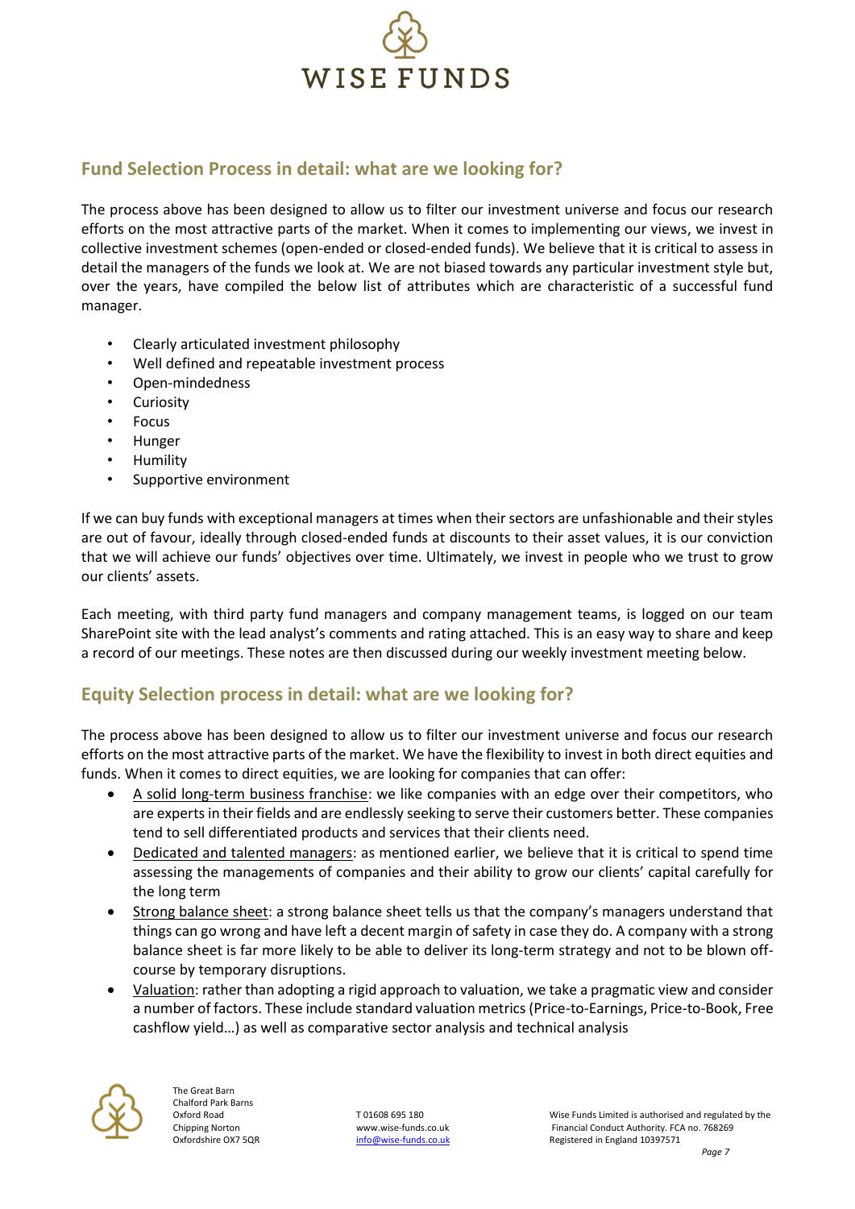

#### **Fund Selection Process in detail: what are we looking for?**

The process above has been designed to allow us to filter our investment universe and focus our research efforts on the most attractive parts of the market. When it comes to implementing our views, we invest in collective investment schemes (open-ended or closed-ended funds). We believe that it is critical to assess in detail the managers of the funds we look at. We are not biased towards any particular investment style but, over the years, have compiled the below list of attributes which are characteristic of a successful fund manager.

- Clearly articulated investment philosophy
- Well defined and repeatable investment process
- Open-mindedness
- Curiosity
- Focus
- Hunger
- Humility
- Supportive environment

If we can buy funds with exceptional managers at times when their sectors are unfashionable and their styles are out of favour, ideally through closed-ended funds at discounts to their asset values, it is our conviction that we will achieve our funds' objectives over time. Ultimately, we invest in people who we trust to grow our clients' assets.

Each meeting, with third party fund managers and company management teams, is logged on our team SharePoint site with the lead analyst's comments and rating attached. This is an easy way to share and keep a record of our meetings. These notes are then discussed during our weekly investment meeting below.

#### **Equity Selection process in detail: what are we looking for?**

The process above has been designed to allow us to filter our investment universe and focus our research efforts on the most attractive parts of the market. We have the flexibility to invest in both direct equities and funds. When it comes to direct equities, we are looking for companies that can offer:

- A solid long-term business franchise: we like companies with an edge over their competitors, who are experts in their fields and are endlessly seeking to serve their customers better. These companies tend to sell differentiated products and services that their clients need.
- Dedicated and talented managers: as mentioned earlier, we believe that it is critical to spend time assessing the managements of companies and their ability to grow our clients' capital carefully for the long term
- Strong balance sheet: a strong balance sheet tells us that the company's managers understand that things can go wrong and have left a decent margin of safety in case they do. A company with a strong balance sheet is far more likely to be able to deliver its long-term strategy and not to be blown offcourse by temporary disruptions.
- Valuation: rather than adopting a rigid approach to valuation, we take a pragmatic view and consider a number of factors. These include standard valuation metrics (Price-to-Earnings, Price-to-Book, Free cashflow yield…) as well as comparative sector analysis and technical analysis

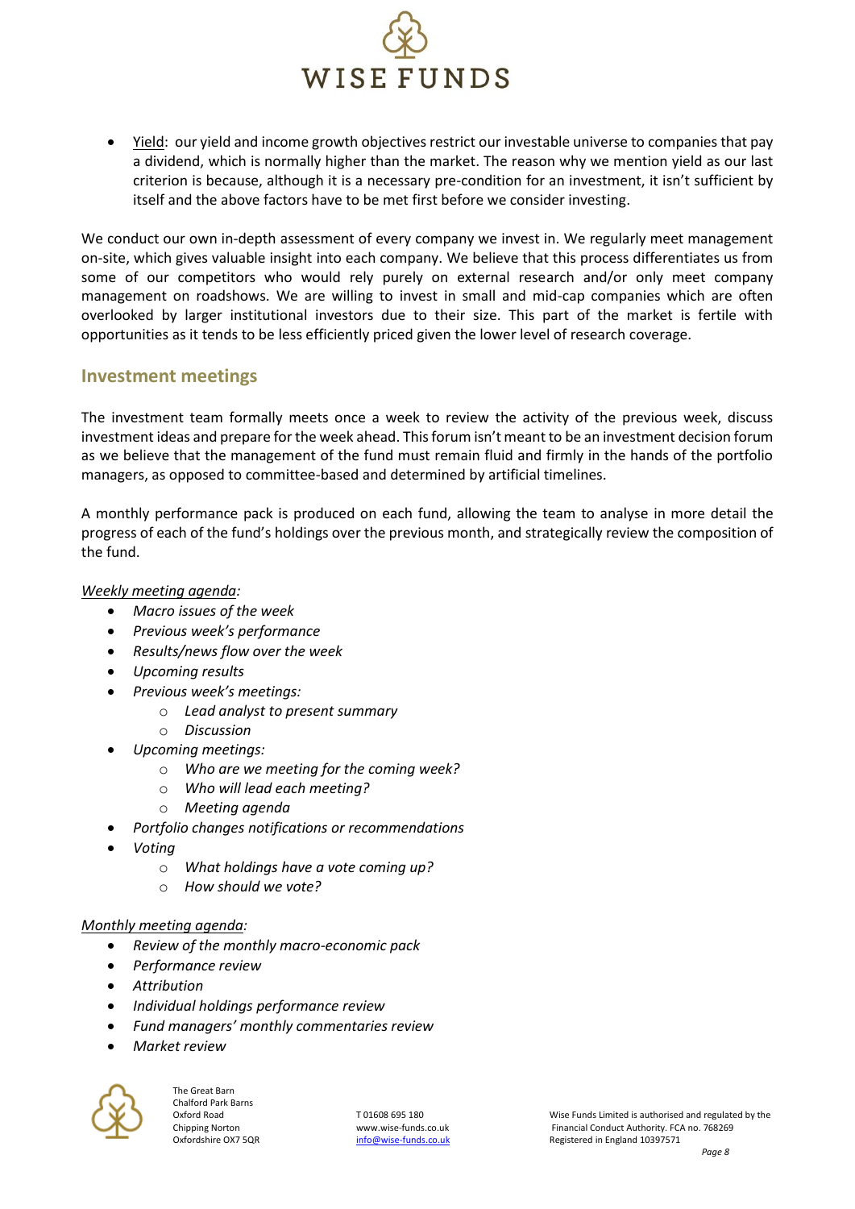

• Yield: our yield and income growth objectives restrict our investable universe to companies that pay a dividend, which is normally higher than the market. The reason why we mention yield as our last criterion is because, although it is a necessary pre-condition for an investment, it isn't sufficient by itself and the above factors have to be met first before we consider investing.

We conduct our own in-depth assessment of every company we invest in. We regularly meet management on-site, which gives valuable insight into each company. We believe that this process differentiates us from some of our competitors who would rely purely on external research and/or only meet company management on roadshows. We are willing to invest in small and mid-cap companies which are often overlooked by larger institutional investors due to their size. This part of the market is fertile with opportunities as it tends to be less efficiently priced given the lower level of research coverage.

#### **Investment meetings**

The investment team formally meets once a week to review the activity of the previous week, discuss investment ideas and prepare for the week ahead. This forum isn't meant to be an investment decision forum as we believe that the management of the fund must remain fluid and firmly in the hands of the portfolio managers, as opposed to committee-based and determined by artificial timelines.

A monthly performance pack is produced on each fund, allowing the team to analyse in more detail the progress of each of the fund's holdings over the previous month, and strategically review the composition of the fund.

*Weekly meeting agenda:*

- *Macro issues of the week*
- *Previous week's performance*
- *Results/news flow over the week*
- *Upcoming results*
- *Previous week's meetings:*
	- o *Lead analyst to present summary*
	- o *Discussion*
- *Upcoming meetings:*
	- o *Who are we meeting for the coming week?*
	- o *Who will lead each meeting?*
	- o *Meeting agenda*
- *Portfolio changes notifications or recommendations*
- *Voting*
	- o *What holdings have a vote coming up?*
	- o *How should we vote?*

#### *Monthly meeting agenda:*

- *Review of the monthly macro-economic pack*
- *Performance review*
- *Attribution*
- *Individual holdings performance review*
- *Fund managers' monthly commentaries review*
- *Market review*

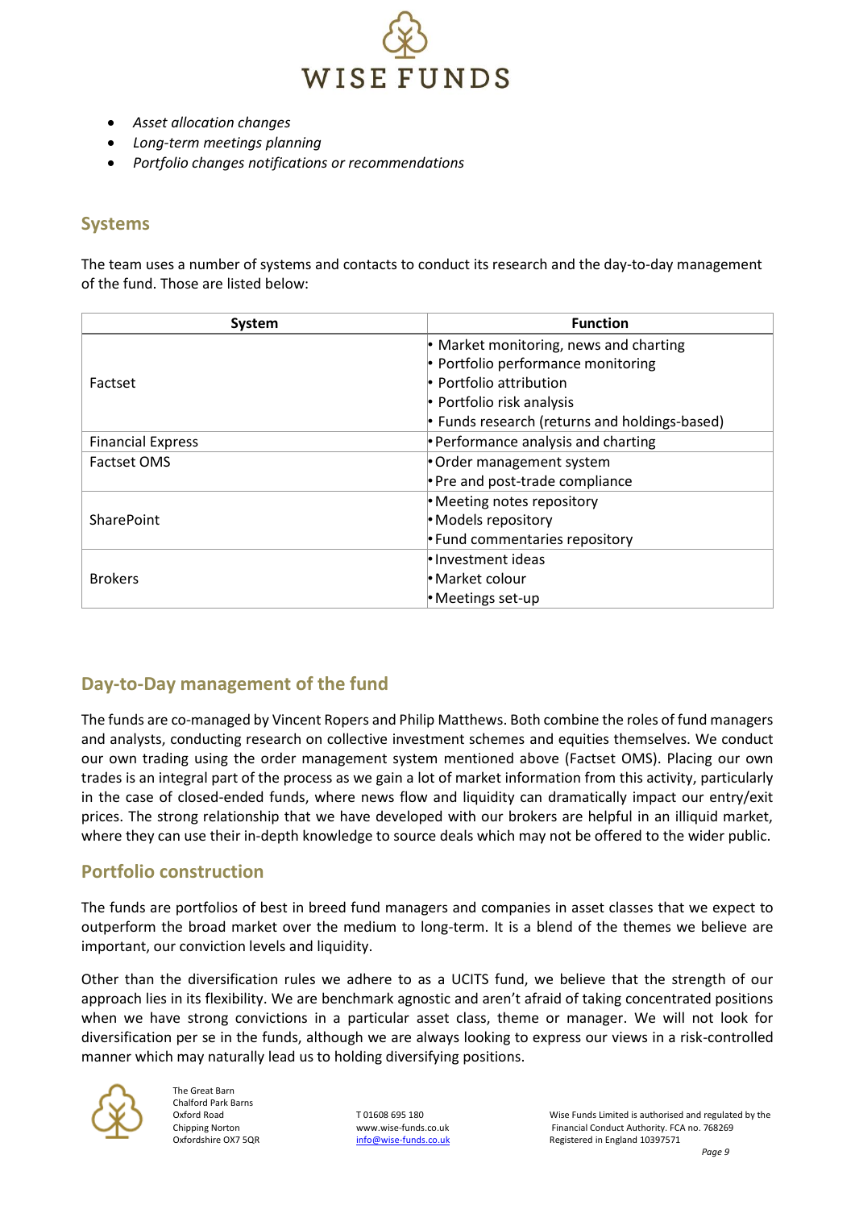

- *Asset allocation changes*
- *Long-term meetings planning*
- *Portfolio changes notifications or recommendations*

#### **Systems**

The team uses a number of systems and contacts to conduct its research and the day-to-day management of the fund. Those are listed below:

| System                   | <b>Function</b>                               |
|--------------------------|-----------------------------------------------|
| Factset                  | • Market monitoring, news and charting        |
|                          | • Portfolio performance monitoring            |
|                          | $\cdot$ Portfolio attribution                 |
|                          | • Portfolio risk analysis                     |
|                          | • Funds research (returns and holdings-based) |
| <b>Financial Express</b> | • Performance analysis and charting           |
| <b>Factset OMS</b>       | • Order management system                     |
|                          | • Pre and post-trade compliance               |
| <b>SharePoint</b>        | • Meeting notes repository                    |
|                          | • Models repository                           |
|                          | • Fund commentaries repository                |
| <b>Brokers</b>           | le Investment ideas                           |
|                          | • Market colour                               |
|                          | $\bullet$ Meetings set-up                     |

#### **Day-to-Day management of the fund**

The funds are co-managed by Vincent Ropers and Philip Matthews. Both combine the roles of fund managers and analysts, conducting research on collective investment schemes and equities themselves. We conduct our own trading using the order management system mentioned above (Factset OMS). Placing our own trades is an integral part of the process as we gain a lot of market information from this activity, particularly in the case of closed-ended funds, where news flow and liquidity can dramatically impact our entry/exit prices. The strong relationship that we have developed with our brokers are helpful in an illiquid market, where they can use their in-depth knowledge to source deals which may not be offered to the wider public.

#### **Portfolio construction**

The funds are portfolios of best in breed fund managers and companies in asset classes that we expect to outperform the broad market over the medium to long-term. It is a blend of the themes we believe are important, our conviction levels and liquidity.

Other than the diversification rules we adhere to as a UCITS fund, we believe that the strength of our approach lies in its flexibility. We are benchmark agnostic and aren't afraid of taking concentrated positions when we have strong convictions in a particular asset class, theme or manager. We will not look for diversification per se in the funds, although we are always looking to express our views in a risk-controlled manner which may naturally lead us to holding diversifying positions.

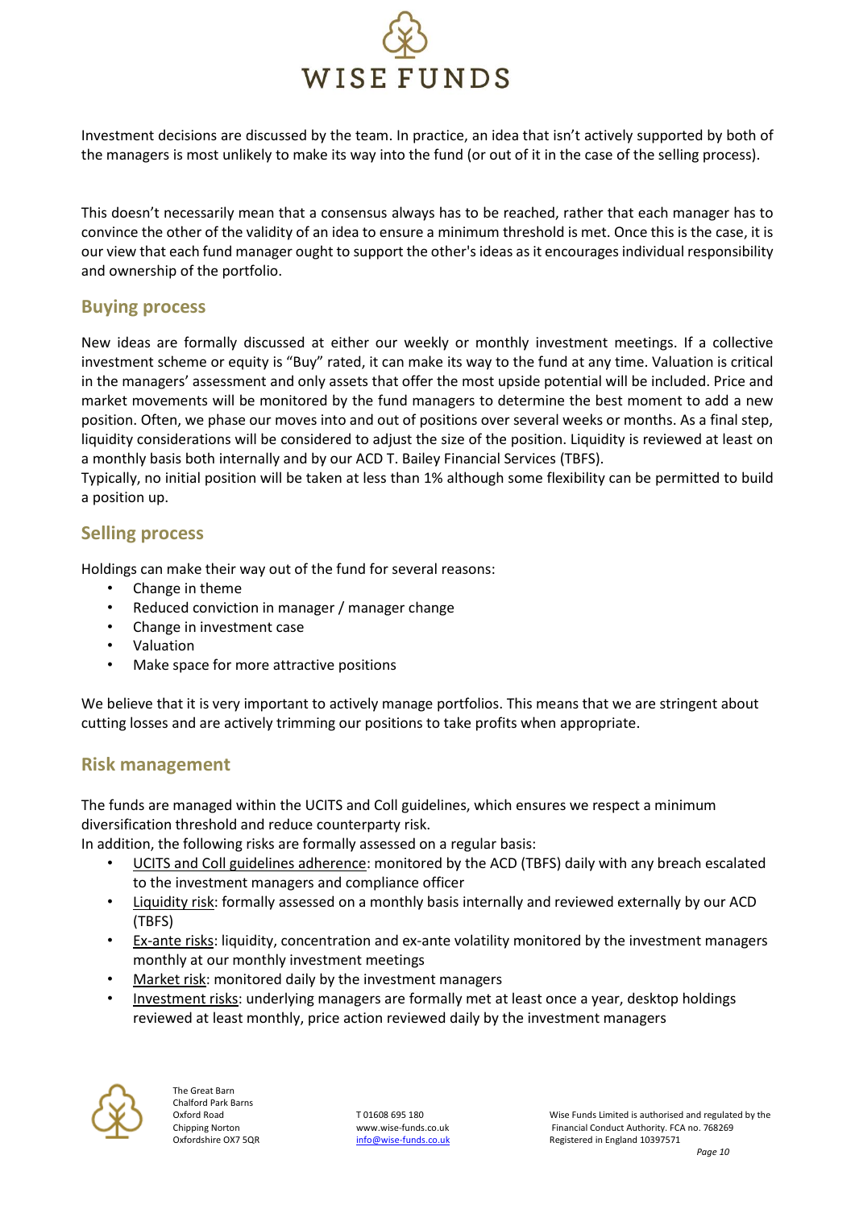

Investment decisions are discussed by the team. In practice, an idea that isn't actively supported by both of the managers is most unlikely to make its way into the fund (or out of it in the case of the selling process).

This doesn't necessarily mean that a consensus always has to be reached, rather that each manager has to convince the other of the validity of an idea to ensure a minimum threshold is met. Once this is the case, it is our view that each fund manager ought to support the other's ideas as it encourages individual responsibility and ownership of the portfolio.

#### **Buying process**

New ideas are formally discussed at either our weekly or monthly investment meetings. If a collective investment scheme or equity is "Buy" rated, it can make its way to the fund at any time. Valuation is critical in the managers' assessment and only assets that offer the most upside potential will be included. Price and market movements will be monitored by the fund managers to determine the best moment to add a new position. Often, we phase our moves into and out of positions over several weeks or months. As a final step, liquidity considerations will be considered to adjust the size of the position. Liquidity is reviewed at least on a monthly basis both internally and by our ACD T. Bailey Financial Services (TBFS).

Typically, no initial position will be taken at less than 1% although some flexibility can be permitted to build a position up.

#### **Selling process**

Holdings can make their way out of the fund for several reasons:

- Change in theme
- Reduced conviction in manager / manager change
- Change in investment case
- Valuation
- Make space for more attractive positions

We believe that it is very important to actively manage portfolios. This means that we are stringent about cutting losses and are actively trimming our positions to take profits when appropriate.

#### **Risk management**

The funds are managed within the UCITS and Coll guidelines, which ensures we respect a minimum diversification threshold and reduce counterparty risk.

In addition, the following risks are formally assessed on a regular basis:

- UCITS and Coll guidelines adherence: monitored by the ACD (TBFS) daily with any breach escalated to the investment managers and compliance officer
- Liquidity risk: formally assessed on a monthly basis internally and reviewed externally by our ACD (TBFS)
- Ex-ante risks: liquidity, concentration and ex-ante volatility monitored by the investment managers monthly at our monthly investment meetings
- Market risk: monitored daily by the investment managers
- Investment risks: underlying managers are formally met at least once a year, desktop holdings reviewed at least monthly, price action reviewed daily by the investment managers